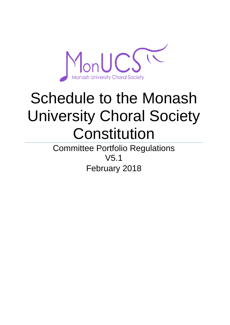

# Schedule to the Monash University Choral Society **Constitution**

Committee Portfolio Regulations V5.1 February 2018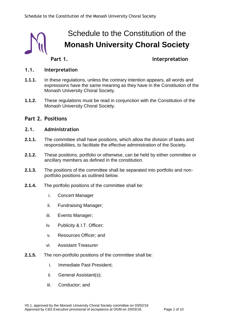

## Schedule to the Constitution of the **Monash University Choral Society**

### **Part 1. Interpretation**

#### **1.1. Interpretation**

- **1.1.1.** In these regulations, unless the contrary intention appears, all words and expressions have the same meaning as they have in the Constitution of the Monash University Choral Society.
- **1.1.2.** These regulations must be read in conjunction with the Constitution of the Monash University Choral Society.

#### **Part 2. Positions**

#### **2.1. Administration**

- **2.1.1.** The committee shall have positions, which allow the division of tasks and responsibilities, to facilitate the effective administration of the Society.
- **2.1.2.** These positions, portfolio or otherwise, can be held by either committee or ancillary members as defined in the constitution.
- **2.1.3.** The positions of the committee shall be separated into portfolio and nonportfolio positions as outlined below.
- **2.1.4.** The portfolio positions of the committee shall be:
	- i. Concert Manager
	- ii. Fundraising Manager;
	- iii. Events Manager;
	- iv. Publicity & I.T. Officer;
	- v. Resources Officer; and
	- vi. Assistant Treasurer
- **2.1.5.** The non-portfolio positions of the committee shall be:
	- i. Immediate Past President;
	- ii. General Assistant(s);
	- iii. Conductor; and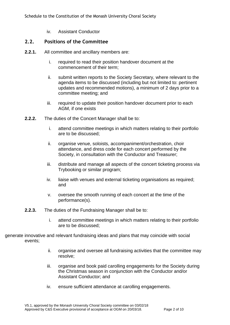iv. Assistant Conductor

#### **2.2. Positions of the Committee**

- **2.2.1.** All committee and ancillary members are:
	- i. required to read their position handover document at the commencement of their term;
	- ii. submit written reports to the Society Secretary, where relevant to the agenda items to be discussed (including but not limited to: pertinent updates and recommended motions), a minimum of 2 days prior to a committee meeting; and
	- iii. required to update their position handover document prior to each AGM, if one exists
- **2.2.2.** The duties of the Concert Manager shall be to:
	- i. attend committee meetings in which matters relating to their portfolio are to be discussed;
	- ii. organise venue, soloists, accompaniment/orchestration, choir attendance, and dress code for each concert performed by the Society, in consultation with the Conductor and Treasurer;
	- iii. distribute and manage all aspects of the concert ticketing process via Trybooking or similar program;
	- iv. liaise with venues and external ticketing organisations as required; and
	- v. oversee the smooth running of each concert at the time of the performance(s).
- **2.2.3.** The duties of the Fundraising Manager shall be to:
	- i. attend committee meetings in which matters relating to their portfolio are to be discussed;

generate innovative and relevant fundraising ideas and plans that may coincide with social events;

- ii. organise and oversee all fundraising activities that the committee may resolve;
- iii. organise and book paid carolling engagements for the Society during the Christmas season in conjunction with the Conductor and/or Assistant Conductor; and
- iv. ensure sufficient attendance at carolling engagements.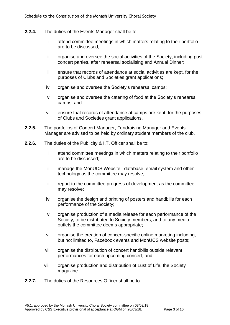- **2.2.4.** The duties of the Events Manager shall be to:
	- i. attend committee meetings in which matters relating to their portfolio are to be discussed;
	- ii. organise and oversee the social activities of the Society, including post concert parties, after rehearsal socialising and Annual Dinner;
	- iii. ensure that records of attendance at social activities are kept, for the purposes of Clubs and Societies grant applications;
	- iv. organise and oversee the Society's rehearsal camps;
	- v. organise and oversee the catering of food at the Society's rehearsal camps; and
	- vi. ensure that records of attendance at camps are kept, for the purposes of Clubs and Societies grant applications.
- **2.2.5.** The portfolios of Concert Manager, Fundraising Manager and Events Manager are advised to be held by ordinary student members of the club.
- **2.2.6.** The duties of the Publicity & I.T. Officer shall be to:
	- i. attend committee meetings in which matters relating to their portfolio are to be discussed;
	- ii. manage the MonUCS Website, database, email system and other technology as the committee may resolve;
	- iii. report to the committee progress of development as the committee may resolve;
	- iv. organise the design and printing of posters and handbills for each performance of the Society;
	- v. organise production of a media release for each performance of the Society, to be distributed to Society members, and to any media outlets the committee deems appropriate;
	- vi. organise the creation of concert-specific online marketing including, but not limited to, Facebook events and MonUCS website posts;
	- vii. organise the distribution of concert handbills outside relevant performances for each upcoming concert; and
	- viii. organise production and distribution of Lust of Life, the Society magazine.
- **2.2.7.** The duties of the Resources Officer shall be to: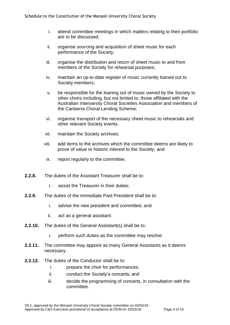- i. attend committee meetings in which matters relating to their portfolio are to be discussed;
- ii. organise sourcing and acquisition of sheet music for each performance of the Society;
- iii. organise the distribution and return of sheet music to and from members of the Society for rehearsal purposes;
- iv. maintain an up-to-date register of music currently loaned out to Society members;
- v. be responsible for the loaning out of music owned by the Society to other choirs including, but not limited to, those affiliated with the Australian Intervarsity Choral Societies Association and members of the Canberra Choral Lending Scheme;
- vi. organise transport of the necessary sheet music to rehearsals and other relevant Society events.
- vii. maintain the Society archives;
- viii. add items to the archives which the committee deems are likely to prove of value or historic interest to the Society; and
	- ix. report regularly to the committee.
- **2.2.8.** The duties of the Assistant Treasurer shall be to:
	- i. assist the Treasurer in their duties;
- **2.2.9.** The duties of the Immediate Past President shall be to:
	- i. advise the new president and committee; and
	- ii. act as a general assistant.
- **2.2.10.** The duties of the General Assistant(s) shall be to:
	- i. perform such duties as the committee may resolve.
- **2.2.11.** The committee may appoint as many General Assistants as it deems necessary.
- **2.2.12.** The duties of the Conductor shall be to:
	- i. prepare the choir for performances;
	- ii. conduct the Society's concerts; and
	- iii. decide the programming of concerts, in consultation with the committee.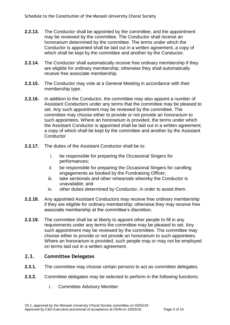- **2.2.13.** The Conductor shall be appointed by the committee, and the appointment may be reviewed by the committee. The Conductor shall receive an honorarium determined by the committee. The terms under which the Conductor is appointed shall be laid out in a written agreement, a copy of which shall be kept by the committee and another by the Conductor.
- **2.2.14.** The Conductor shall automatically receive free ordinary membership if they are eligible for ordinary membership; otherwise they shall automatically receive free associate membership.
- **2.2.15.** The Conductor may vote at a General Meeting in accordance with their membership type.
- **2.2.16.** In addition to the Conductor, the committee may also appoint a number of Assistant Conductors under any terms that the committee may be pleased to set. Any such appointment may be reviewed by the committee. The committee may choose either to provide or not provide an honorarium to such appointees. Where an honorarium is provided, the terms under which the Assistant Conductor is appointed shall be laid out in a written agreement, a copy of which shall be kept by the committee and another by the Assistant **Conductor**
- **2.2.17.** The duties of the Assistant Conductor shall be to:
	- i. be responsible for preparing the Occasional Singers for performances;
	- ii. be responsible for preparing the Occasional Singers for carolling engagements as booked by the Fundraising Officer;
	- iii. take sectionals and other rehearsals whereby the Conductor is unavailable; and
	- iv. other duties determined by Conductor, in order to assist them.
- **2.2.18.** Any appointed Assistant Conductors may receive free ordinary membership if they are eligible for ordinary membership; otherwise they may receive free associate membership at the committee's discretion.
- **2.2.19.** The committee shall be at liberty to appoint other people to fill in any requirements under any terms the committee may be pleased to set. Any such appointment may be reviewed by the committee. The committee may choose either to provide or not provide an honorarium to such appointees. Where an honorarium is provided, such people may or may not be employed on terms laid out in a written agreement.

#### **2.3. Committee Delegates**

- **2.3.1.** The committee may choose certain persons to act as committee delegates.
- **2.3.2.** Committee delegates may be selected to perform in the following functions:
	- i. Committee Advisory Member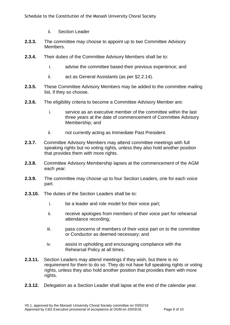- ii. Section Leader
- **2.3.3.** The committee may choose to appoint up to two Committee Advisory Members.
- **2.3.4.** Their duties of the Committee Advisory Members shall be to:
	- i. advise the committee based their previous experience; and
	- ii. act as General Assistants (as per §2.2.14).
- **2.3.5.** These Committee Advisory Members may be added to the committee mailing list, if they so choose.
- **2.3.6.** The eligibility criteria to become a Committee Advisory Member are:
	- i. service as an executive member of the committee within the last three years at the date of commencement of Committee Advisory Membership; and
	- ii. not currently acting as Immediate Past President.
- **2.3.7.** Committee Advisory Members may attend committee meetings with full speaking rights but no voting rights, unless they also hold another position that provides them with more rights.
- **2.3.8.** Committee Advisory Membership lapses at the commencement of the AGM each year.
- **2.3.9.** The committee may choose up to four Section Leaders, one for each voice part.
- **2.3.10.** The duties of the Section Leaders shall be to:
	- i. be a leader and role model for their voice part;
	- ii. receive apologies from members of their voice part for rehearsal attendance recording;
	- iii. pass concerns of members of their voice part on to the committee or Conductor as deemed necessary; and
	- iv. assist in upholding and encouraging compliance with the Rehearsal Policy at all times.
- **2.3.11.** Section Leaders may attend meetings if they wish, but there is no requirement for them to do so. They do not have full speaking rights or voting rights, unless they also hold another position that provides them with more rights.
- **2.3.12.** Delegation as a Section Leader shall lapse at the end of the calendar year.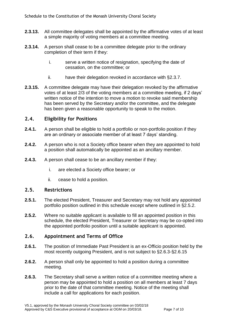- **2.3.13.** All committee delegates shall be appointed by the affirmative votes of at least a simple majority of voting members at a committee meeting.
- **2.3.14.** A person shall cease to be a committee delegate prior to the ordinary completion of their term if they:
	- i. serve a written notice of resignation, specifying the date of cessation, on the committee; or
	- ii. have their delegation revoked in accordance with §2.3.7.
- **2.3.15.** A committee delegate may have their delegation revoked by the affirmative votes of at least 2/3 of the voting members at a committee meeting, if 2 days' written notice of the intention to move a motion to revoke said membership has been served by the Secretary and/or the committee, and the delegate has been given a reasonable opportunity to speak to the motion.

#### **2.4. Eligibility for Positions**

- **2.4.1.** A person shall be eligible to hold a portfolio or non-portfolio position if they are an ordinary or associate member of at least 7 days' standing.
- **2.4.2.** A person who is not a Society office bearer when they are appointed to hold a position shall automatically be appointed as an ancillary member.
- **2.4.3.** A person shall cease to be an ancillary member if they:
	- i. are elected a Society office bearer; or
	- ii. cease to hold a position.

#### **2.5. Restrictions**

- **2.5.1.** The elected President, Treasurer and Secretary may not hold any appointed portfolio position outlined in this schedule except where outlined in §2.5.2.
- **2.5.2.** Where no suitable applicant is available to fill an appointed position in this schedule, the elected President, Treasurer or Secretary may be co-opted into the appointed portfolio position until a suitable applicant is appointed.

#### **2.6. Appointment and Terms of Office**

- **2.6.1.** The position of Immediate Past President is an ex-Officio position held by the most recently outgoing President, and is not subject to §2.6.3-§2.6.15
- **2.6.2.** A person shall only be appointed to hold a position during a committee meeting.
- **2.6.3.** The Secretary shall serve a written notice of a committee meeting where a person may be appointed to hold a position on all members at least 7 days prior to the date of that committee meeting. Notice of the meeting shall include a call for applications for each position.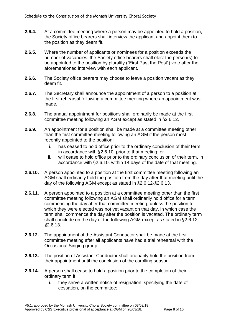- **2.6.4.** At a committee meeting where a person may be appointed to hold a position, the Society office bearers shall interview the applicant and appoint them to the position as they deem fit.
- **2.6.5.** Where the number of applicants or nominees for a position exceeds the number of vacancies, the Society office bearers shall elect the person(s) to be appointed to the position by plurality ("First Past the Post") vote after the aforementioned interview with each applicant.
- **2.6.6.** The Society office bearers may choose to leave a position vacant as they deem fit.
- **2.6.7.** The Secretary shall announce the appointment of a person to a position at the first rehearsal following a committee meeting where an appointment was made.
- **2.6.8.** The annual appointment for positions shall ordinarily be made at the first committee meeting following an AGM except as stated in §2.6.12.
- **2.6.9.** An appointment for a position shall be made at a committee meeting other than the first committee meeting following an AGM if the person most recently appointed to the position:
	- i. has ceased to hold office prior to the ordinary conclusion of their term, in accordance with §2.6.10, prior to that meeting; or
	- ii. will cease to hold office prior to the ordinary conclusion of their term, in accordance with §2.6.10, within 14 days of the date of that meeting.
- **2.6.10.** A person appointed to a position at the first committee meeting following an AGM shall ordinarily hold the position from the day after that meeting until the day of the following AGM except as stated in §2.6.12-§2.6.13.
- **2.6.11.** A person appointed to a position at a committee meeting other than the first committee meeting following an AGM shall ordinarily hold office for a term commencing the day after that committee meeting, unless the position to which they were elected was not yet vacant on that day, in which case the term shall commence the day after the position is vacated. The ordinary term shall conclude on the day of the following AGM except as stated in §2.6.12- §2.6.13.
- **2.6.12.** The appointment of the Assistant Conductor shall be made at the first committee meeting after all applicants have had a trial rehearsal with the Occasional Singing group.
- **2.6.13.** The position of Assistant Conductor shall ordinarily hold the position from their appointment until the conclusion of the carolling season.
- **2.6.14.** A person shall cease to hold a position prior to the completion of their ordinary term if:
	- i. they serve a written notice of resignation, specifying the date of cessation, on the committee;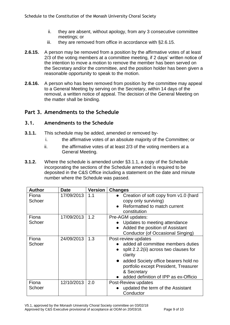- ii. they are absent, without apology, from any 3 consecutive committee meetings; or
- iii. they are removed from office in accordance with §2.6.15.
- **2.6.15.** A person may be removed from a position by the affirmative votes of at least 2/3 of the voting members at a committee meeting, if 2 days' written notice of the intention to move a motion to remove the member has been served on the Secretary and/or the committee, and the position holder has been given a reasonable opportunity to speak to the motion.
- **2.6.16.** A person who has been removed from position by the committee may appeal to a General Meeting by serving on the Secretary, within 14 days of the removal, a written notice of appeal. The decision of the General Meeting on the matter shall be binding.

#### **Part 3. Amendments to the Schedule**

#### **3.1. Amendments to the Schedule**

- **3.1.1.** This schedule may be added, amended or removed by
	- i. the affirmative votes of an absolute majority of the Committee; or
	- ii. the affirmative votes of at least 2/3 of the voting members at a General Meeting.
- **3.1.2.** Where the schedule is amended under §3.1.1, a copy of the Schedule incorporating the sections of the Schedule amended is required to be deposited in the C&S Office including a statement on the date and minute number where the Schedule was passed.

| <b>Author</b>   | <b>Date</b> | <b>Version</b> | <b>Changes</b>                                                                                                                                                                                                                                                       |
|-----------------|-------------|----------------|----------------------------------------------------------------------------------------------------------------------------------------------------------------------------------------------------------------------------------------------------------------------|
| Fiona<br>Schoer | 17/09/2013  | 1.1            | Creation of soft copy from v1.0 (hard<br>copy only surviving)<br>Reformatted to match current<br>$\bullet$<br>constitution                                                                                                                                           |
| Fiona<br>Schoer | 17/09/2013  | 1.2            | Pre-AGM updates:<br>Updates to meeting attendance<br>Added the position of Assistant<br>$\bullet$<br>Conductor (of Occasional Singing)                                                                                                                               |
| Fiona<br>Schoer | 24/09/2013  | 1.3            | Post-review updates<br>added all committee members duties<br>split 2.2.2(ii) across two clauses for<br>clarity<br>added Society office bearers hold no<br>$\bullet$<br>portfolio except President, Treasurer<br>& Secretary<br>added definition of IPP as ex-Officio |
| Fiona<br>Schoer | 12/10/2013  | 2.0            | Post-Review updates<br>updated the term of the Assistant<br>Conductor                                                                                                                                                                                                |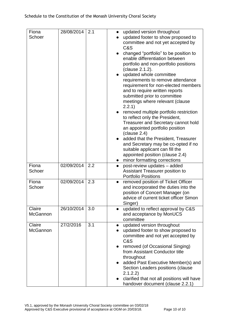| Fiona<br>Schoer           | 28/08/2014 | 2.1 | $\bullet$              | updated version throughout<br>updated footer to show proposed to          |
|---------------------------|------------|-----|------------------------|---------------------------------------------------------------------------|
|                           |            |     |                        | committee and not yet accepted by                                         |
|                           |            |     |                        | C&S<br>changed "portfolio" to be position to                              |
|                           |            |     |                        | enable differentiation between                                            |
|                           |            |     |                        | portfolio and non-portfolio positions                                     |
|                           |            |     |                        | (clause 2.1.2).                                                           |
|                           |            |     |                        | updated whole committee                                                   |
|                           |            |     |                        | requirements to remove attendance<br>requirement for non-elected members  |
|                           |            |     |                        | and to require written reports                                            |
|                           |            |     |                        | submitted prior to committee                                              |
|                           |            |     |                        | meetings where relevant (clause                                           |
|                           |            |     |                        | 2.2.1)                                                                    |
|                           |            |     |                        | removed multiple portfolio restriction                                    |
|                           |            |     |                        | to reflect only the President,<br>Treasurer and Secretary cannot hold     |
|                           |            |     |                        | an appointed portfolio position                                           |
|                           |            |     |                        | clause 2.4)                                                               |
|                           |            |     |                        | added that the President, Treasurer                                       |
|                           |            |     |                        | and Secretary may be co-opted if no                                       |
|                           |            |     |                        | suitable applicant can fill the                                           |
|                           |            |     |                        | appointed position (clause 2.4)<br>minor formatting corrections           |
| Fiona                     | 02/09/2014 | 2.2 | $\bullet$              | post-review updates - added                                               |
| Schoer                    |            |     |                        | Assistant Treasurer position to                                           |
|                           |            |     |                        | <b>Portfolio Positions</b>                                                |
| Fiona                     | 02/09/2014 | 2.3 | $\bullet$              | removed position of Ticket Officer                                        |
| Schoer                    |            |     |                        | and incorporated the duties into the                                      |
|                           |            |     |                        | position of Concert Manager (on<br>advice of current ticket officer Simon |
|                           |            |     |                        | Singer)                                                                   |
| Claire                    | 26/10/2014 | 3.0 |                        | updated to reflect approval by C&S                                        |
| <b>McGannon</b>           |            |     |                        | and acceptance by MonUCS                                                  |
|                           |            |     |                        | committee                                                                 |
| Claire<br><b>McGannon</b> | 27/2/2016  | 3.1 | $\bullet$<br>$\bullet$ | updated version throughout<br>updated footer to show proposed to          |
|                           |            |     |                        | committee and not yet accepted by                                         |
|                           |            |     |                        | C&S                                                                       |
|                           |            |     |                        | removed (of Occasional Singing)                                           |
|                           |            |     |                        | from Assistant Conductor title                                            |
|                           |            |     |                        | throughout                                                                |
|                           |            |     |                        | added Past Executive Member(s) and<br>Section Leaders positions (clause   |
|                           |            |     |                        | 2.1.2.2)                                                                  |
|                           |            |     |                        | clarified that not all positions will have                                |
|                           |            |     |                        | handover document (clause 2.2.1)                                          |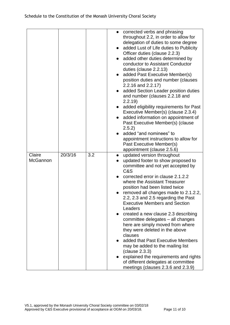|                           |         |     | $\bullet$<br>$\bullet$ | corrected verbs and phrasing<br>throughout 2.2, in order to allow for<br>delegation of duties to some degree<br>added Lust of Life duties to Publicity<br>Officer duties (clause 2.2.3)<br>added other duties determined by<br>conductor to Assistant Conductor<br>duties (clause 2.2.13)<br>added Past Executive Member(s)<br>position duties and number (clauses<br>2.2.16 and 2.2.17)<br>added Section Leader position duties<br>and number (clauses 2.2.18 and<br>2.2.19<br>added eligibility requirements for Past<br>Executive Member(s) (clause 2.3.4)<br>added information on appointment of<br>Past Executive Member(s) (clause<br>2.5.2)<br>added "and nominees" to<br>appointment instructions to allow for<br>Past Executive Member(s)<br>appointment (clause 2.5.6) |
|---------------------------|---------|-----|------------------------|----------------------------------------------------------------------------------------------------------------------------------------------------------------------------------------------------------------------------------------------------------------------------------------------------------------------------------------------------------------------------------------------------------------------------------------------------------------------------------------------------------------------------------------------------------------------------------------------------------------------------------------------------------------------------------------------------------------------------------------------------------------------------------|
| Claire<br><b>McGannon</b> | 20/3/16 | 3.2 |                        | updated version throughout<br>updated footer to show proposed to<br>committee and not yet accepted by<br>C&S<br>corrected error in clause 2.1.2.2<br>where the Assistant Treasurer<br>position had been listed twice<br>removed all changes made to 2.1.2.2,<br>2.2, 2.3 and 2.5 regarding the Past<br><b>Executive Members and Section</b><br>Leaders<br>created a new clause 2.3 describing<br>committee delegates - all changes<br>here are simply moved from where<br>they were deleted in the above<br>clauses<br>added that Past Executive Members<br>may be added to the mailing list<br>(clause 2.3.3)<br>explained the requirements and rights<br>of different delegates at committee<br>meetings (clauses 2.3.6 and 2.3.9)                                             |